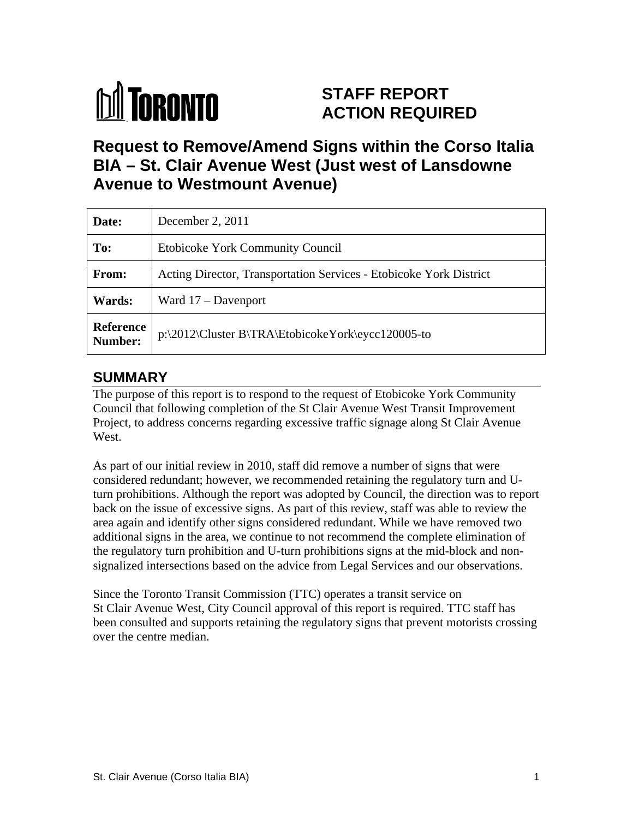

# **STAFF REPORT ACTION REQUIRED**

# **Request to Remove/Amend Signs within the Corso Italia BIA – St. Clair Avenue West (Just west of Lansdowne Avenue to Westmount Avenue)**

| Date:                | December 2, 2011                                                   |
|----------------------|--------------------------------------------------------------------|
| To:                  | Etobicoke York Community Council                                   |
| From:                | Acting Director, Transportation Services - Etobicoke York District |
| Wards:               | $\vert$ Ward 17 – Davenport                                        |
| Reference<br>Number: | $\mathbb{F}$   p:\2012\Cluster B\TRA\EtobicokeYork\eycc120005-to   |

# **SUMMARY**

The purpose of this report is to respond to the request of Etobicoke York Community Council that following completion of the St Clair Avenue West Transit Improvement Project, to address concerns regarding excessive traffic signage along St Clair Avenue West.

As part of our initial review in 2010, staff did remove a number of signs that were considered redundant; however, we recommended retaining the regulatory turn and Uturn prohibitions. Although the report was adopted by Council, the direction was to report back on the issue of excessive signs. As part of this review, staff was able to review the area again and identify other signs considered redundant. While we have removed two additional signs in the area, we continue to not recommend the complete elimination of the regulatory turn prohibition and U-turn prohibitions signs at the mid-block and non signalized intersections based on the advice from Legal Services and our observations.

Since the Toronto Transit Commission (TTC) operates a transit service on St Clair Avenue West, City Council approval of this report is required. TTC staff has been consulted and supports retaining the regulatory signs that prevent motorists crossing over the centre median.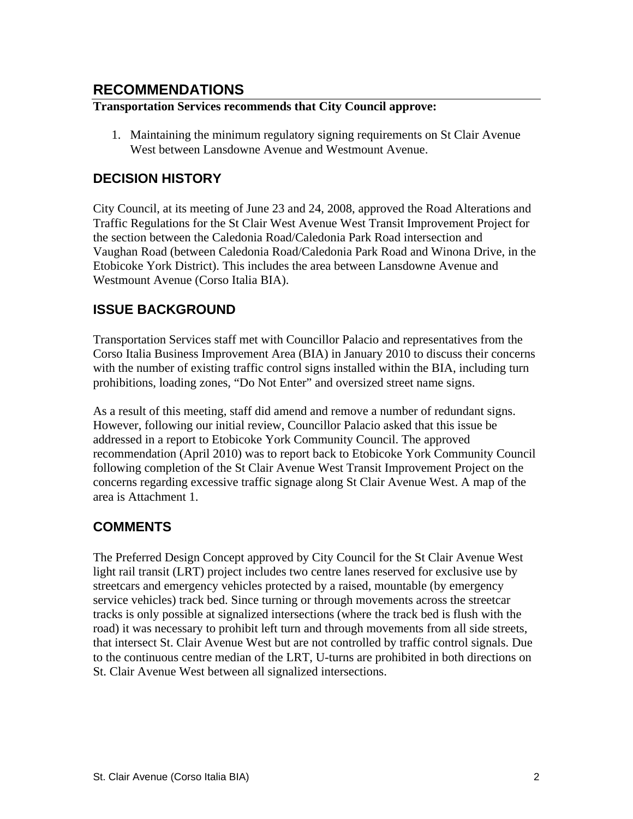# **RECOMMENDATIONS**

#### **Transportation Services recommends that City Council approve:**

1. Maintaining the minimum regulatory signing requirements on St Clair Avenue West between Lansdowne Avenue and Westmount Avenue.

#### **DECISION HISTORY**

City Council, at its meeting of June 23 and 24, 2008, approved the Road Alterations and Traffic Regulations for the St Clair West Avenue West Transit Improvement Project for the section between the Caledonia Road/Caledonia Park Road intersection and Vaughan Road (between Caledonia Road/Caledonia Park Road and Winona Drive, in the Etobicoke York District). This includes the area between Lansdowne Avenue and Westmount Avenue (Corso Italia BIA).

### **ISSUE BACKGROUND**

Transportation Services staff met with Councillor Palacio and representatives from the Corso Italia Business Improvement Area (BIA) in January 2010 to discuss their concerns with the number of existing traffic control signs installed within the BIA, including turn prohibitions, loading zones, "Do Not Enter" and oversized street name signs.

As a result of this meeting, staff did amend and remove a number of redundant signs. However, following our initial review, Councillor Palacio asked that this issue be addressed in a report to Etobicoke York Community Council. The approved recommendation (April 2010) was to report back to Etobicoke York Community Council following completion of the St Clair Avenue West Transit Improvement Project on the concerns regarding excessive traffic signage along St Clair Avenue West. A map of the area is Attachment 1.

# **COMMENTS**

The Preferred Design Concept approved by City Council for the St Clair Avenue West light rail transit (LRT) project includes two centre lanes reserved for exclusive use by streetcars and emergency vehicles protected by a raised, mountable (by emergency service vehicles) track bed. Since turning or through movements across the streetcar tracks is only possible at signalized intersections (where the track bed is flush with the road) it was necessary to prohibit left turn and through movements from all side streets, that intersect St. Clair Avenue West but are not controlled by traffic control signals. Due to the continuous centre median of the LRT, U-turns are prohibited in both directions on St. Clair Avenue West between all signalized intersections.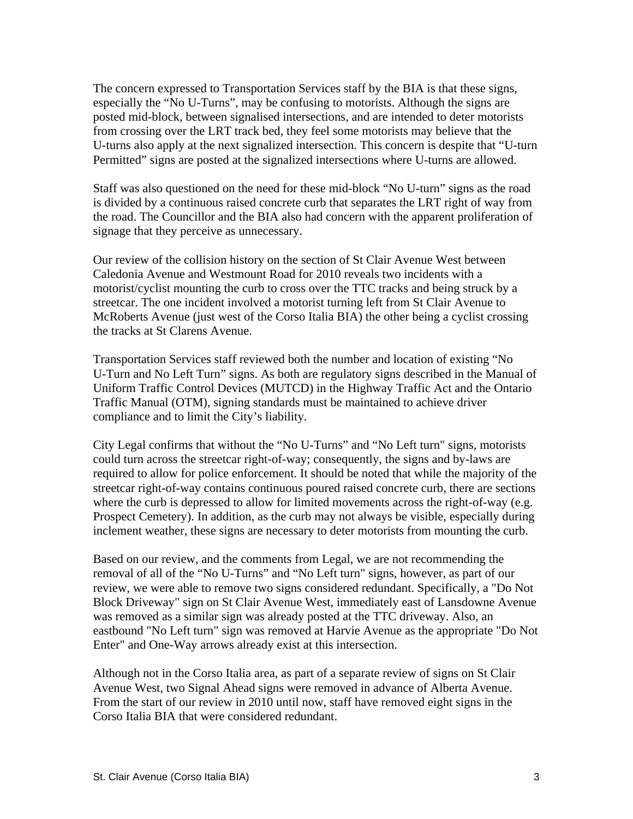The concern expressed to Transportation Services staff by the BIA is that these signs, especially the "No U-Turns", may be confusing to motorists. Although the signs are posted mid-block, between signalised intersections, and are intended to deter motorists from crossing over the LRT track bed, they feel some motorists may believe that the U-turns also apply at the next signalized intersection. This concern is despite that "U-turn Permitted" signs are posted at the signalized intersections where U-turns are allowed.

Staff was also questioned on the need for these mid-block "No U-turn" signs as the road is divided by a continuous raised concrete curb that separates the LRT right of way from the road. The Councillor and the BIA also had concern with the apparent proliferation of signage that they perceive as unnecessary.

Our review of the collision history on the section of St Clair Avenue West between Caledonia Avenue and Westmount Road for 2010 reveals two incidents with a motorist/cyclist mounting the curb to cross over the TTC tracks and being struck by a streetcar. The one incident involved a motorist turning left from St Clair Avenue to McRoberts Avenue (just west of the Corso Italia BIA) the other being a cyclist crossing the tracks at St Clarens Avenue.

Transportation Services staff reviewed both the number and location of existing "No U-Turn and No Left Turn" signs. As both are regulatory signs described in the Manual of Uniform Traffic Control Devices (MUTCD) in the Highway Traffic Act and the Ontario Traffic Manual (OTM), signing standards must be maintained to achieve driver compliance and to limit the City's liability.

City Legal confirms that without the "No U-Turns" and "No Left turn" signs, motorists could turn across the streetcar right-of-way; consequently, the signs and by-laws are required to allow for police enforcement. It should be noted that while the majority of the streetcar right-of-way contains continuous poured raised concrete curb, there are sections where the curb is depressed to allow for limited movements across the right-of-way (e.g. Prospect Cemetery). In addition, as the curb may not always be visible, especially during inclement weather, these signs are necessary to deter motorists from mounting the curb.

Based on our review, and the comments from Legal, we are not recommending the removal of all of the "No U-Turns" and "No Left turn" signs, however, as part of our review, we were able to remove two signs considered redundant. Specifically, a "Do Not Block Driveway" sign on St Clair Avenue West, immediately east of Lansdowne Avenue was removed as a similar sign was already posted at the TTC driveway. Also, an eastbound "No Left turn" sign was removed at Harvie Avenue as the appropriate "Do Not Enter" and One-Way arrows already exist at this intersection.

Although not in the Corso Italia area, as part of a separate review of signs on St Clair Avenue West, two Signal Ahead signs were removed in advance of Alberta Avenue. From the start of our review in 2010 until now, staff have removed eight signs in the Corso Italia BIA that were considered redundant.